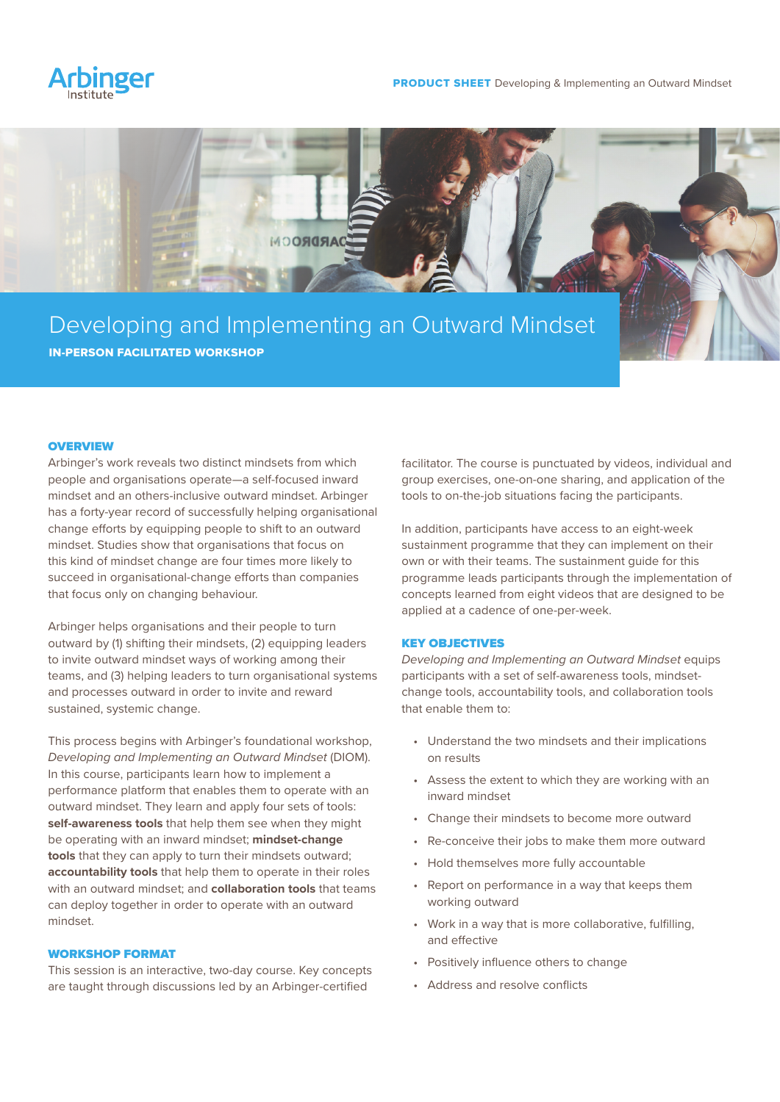



# Developing and Implementing an Outward Mindset IN-PERSON FACILITATED WORKSHOP

### **OVERVIEW**

Arbinger's work reveals two distinct mindsets from which people and organisations operate—a self-focused inward mindset and an others-inclusive outward mindset. Arbinger has a forty-year record of successfully helping organisational change efforts by equipping people to shift to an outward mindset. Studies show that organisations that focus on this kind of mindset change are four times more likely to succeed in organisational-change efforts than companies that focus only on changing behaviour.

Arbinger helps organisations and their people to turn outward by (1) shifting their mindsets, (2) equipping leaders to invite outward mindset ways of working among their teams, and (3) helping leaders to turn organisational systems and processes outward in order to invite and reward sustained, systemic change.

This process begins with Arbinger's foundational workshop, *Developing and Implementing an Outward Mindset* (DIOM). In this course, participants learn how to implement a performance platform that enables them to operate with an outward mindset. They learn and apply four sets of tools: **self-awareness tools** that help them see when they might be operating with an inward mindset; **mindset-change tools** that they can apply to turn their mindsets outward; **accountability tools** that help them to operate in their roles with an outward mindset; and **collaboration tools** that teams can deploy together in order to operate with an outward mindset.

# WORKSHOP FORMAT

This session is an interactive, two-day course. Key concepts are taught through discussions led by an Arbinger-certified

facilitator. The course is punctuated by videos, individual and group exercises, one-on-one sharing, and application of the tools to on-the-job situations facing the participants.

In addition, participants have access to an eight-week sustainment programme that they can implement on their own or with their teams. The sustainment guide for this programme leads participants through the implementation of concepts learned from eight videos that are designed to be applied at a cadence of one-per-week.

#### KEY OBJECTIVES

*Developing and Implementing an Outward Mindset* equips participants with a set of self-awareness tools, mindsetchange tools, accountability tools, and collaboration tools that enable them to:

- Understand the two mindsets and their implications on results
- Assess the extent to which they are working with an inward mindset
- Change their mindsets to become more outward
- Re-conceive their jobs to make them more outward
- Hold themselves more fully accountable
- Report on performance in a way that keeps them working outward
- Work in a way that is more collaborative, fulfilling, and effective
- Positively influence others to change
- Address and resolve conflicts